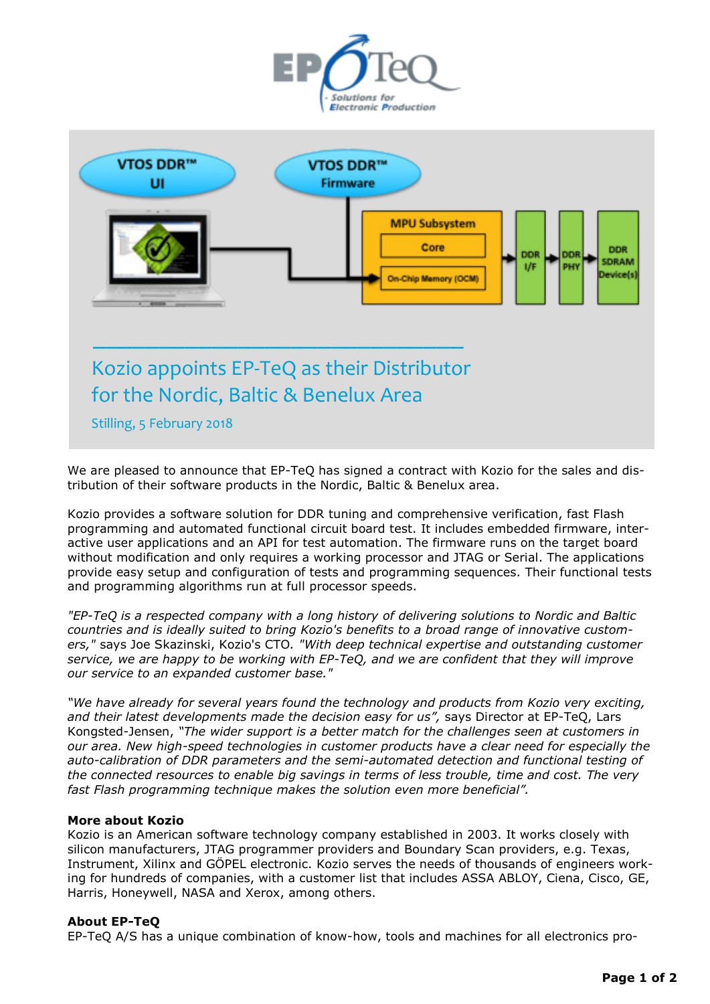



We are pleased to announce that EP-TeQ has signed a contract with Kozio for the sales and distribution of their software products in the Nordic, Baltic & Benelux area.

Kozio provides a software solution for DDR tuning and comprehensive verification, fast Flash programming and automated functional circuit board test. It includes embedded firmware, interactive user applications and an API for test automation. The firmware runs on the target board without modification and only requires a working processor and JTAG or Serial. The applications provide easy setup and configuration of tests and programming sequences. Their functional tests and programming algorithms run at full processor speeds.

*"EP-TeQ is a respected company with a long history of delivering solutions to Nordic and Baltic countries and is ideally suited to bring Kozio's benefits to a broad range of innovative customers,"* says Joe Skazinski, Kozio's CTO*. "With deep technical expertise and outstanding customer service, we are happy to be working with EP-TeQ, and we are confident that they will improve our service to an expanded customer base."* 

*"We have already for several years found the technology and products from Kozio very exciting, and their latest developments made the decision easy for us",* says Director at EP-TeQ, Lars Kongsted-Jensen, *"The wider support is a better match for the challenges seen at customers in our area. New high-speed technologies in customer products have a clear need for especially the auto-calibration of DDR parameters and the semi-automated detection and functional testing of the connected resources to enable big savings in terms of less trouble, time and cost. The very fast Flash programming technique makes the solution even more beneficial".*

## **More about Kozio**

Kozio is an American software technology company established in 2003. It works closely with silicon manufacturers, JTAG programmer providers and Boundary Scan providers, e.g. Texas, Instrument, Xilinx and GÖPEL electronic. Kozio serves the needs of thousands of engineers working for hundreds of companies, with a customer list that includes ASSA ABLOY, Ciena, Cisco, GE, Harris, Honeywell, NASA and Xerox, among others.

## **About EP-TeQ**

EP-TeQ A/S has a unique combination of know-how, tools and machines for all electronics pro-